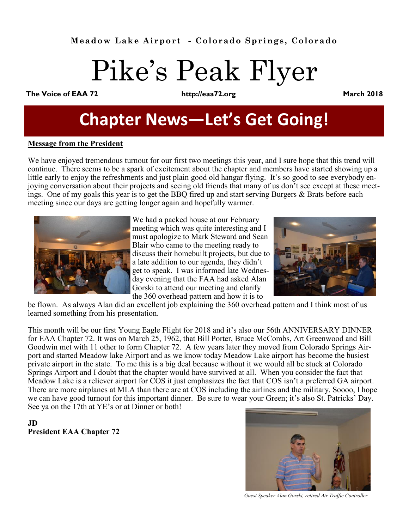# Pike's Peak Flyer

**The Voice of EAA 72 http://eaa72.org March 2018**

# **Chapter News—Let's Get Going!**

#### **Message from the President**

We have enjoyed tremendous turnout for our first two meetings this year, and I sure hope that this trend will continue. There seems to be a spark of excitement about the chapter and members have started showing up a little early to enjoy the refreshments and just plain good old hangar flying. It's so good to see everybody enjoying conversation about their projects and seeing old friends that many of us don't see except at these meetings. One of my goals this year is to get the BBQ fired up and start serving Burgers & Brats before each meeting since our days are getting longer again and hopefully warmer.



We had a packed house at our February meeting which was quite interesting and I must apologize to Mark Steward and Sean Blair who came to the meeting ready to discuss their homebuilt projects, but due to a late addition to our agenda, they didn't get to speak. I was informed late Wednesday evening that the FAA had asked Alan Gorski to attend our meeting and clarify the 360 overhead pattern and how it is to



be flown. As always Alan did an excellent job explaining the 360 overhead pattern and I think most of us learned something from his presentation.

This month will be our first Young Eagle Flight for 2018 and it's also our 56th ANNIVERSARY DINNER for EAA Chapter 72. It was on March 25, 1962, that Bill Porter, Bruce McCombs, Art Greenwood and Bill Goodwin met with 11 other to form Chapter 72. A few years later they moved from Colorado Springs Airport and started Meadow lake Airport and as we know today Meadow Lake airport has become the busiest private airport in the state. To me this is a big deal because without it we would all be stuck at Colorado Springs Airport and I doubt that the chapter would have survived at all. When you consider the fact that Meadow Lake is a reliever airport for COS it just emphasizes the fact that COS isn't a preferred GA airport. There are more airplanes at MLA than there are at COS including the airlines and the military. Soooo, I hope we can have good turnout for this important dinner. Be sure to wear your Green; it's also St. Patricks' Day. See ya on the 17th at YE's or at Dinner or both!

**JD President EAA Chapter 72**



*Guest Speaker Alan Gorski, retired Air Traffic Controller*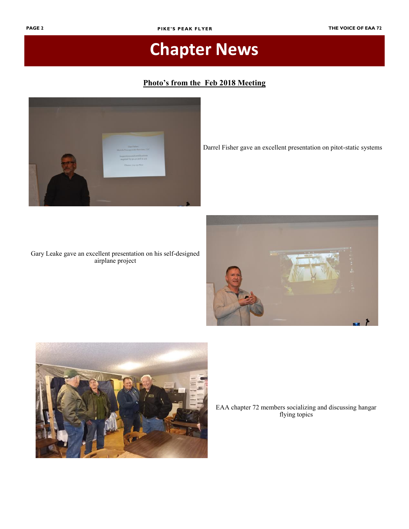#### **Photo's from the Feb 2018 Meeting**



Darrel Fisher gave an excellent presentation on pitot-static systems

#### Gary Leake gave an excellent presentation on his self-designed airplane project





EAA chapter 72 members socializing and discussing hangar flying topics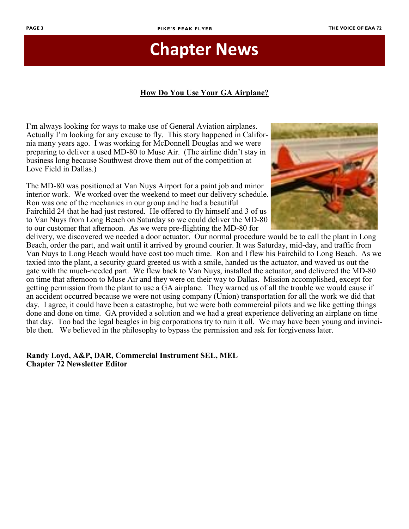#### **How Do You Use Your GA Airplane?**

I'm always looking for ways to make use of General Aviation airplanes. Actually I'm looking for any excuse to fly. This story happened in California many years ago. I was working for McDonnell Douglas and we were preparing to deliver a used MD-80 to Muse Air. (The airline didn't stay in business long because Southwest drove them out of the competition at Love Field in Dallas.)

The MD-80 was positioned at Van Nuys Airport for a paint job and minor interior work. We worked over the weekend to meet our delivery schedule. Ron was one of the mechanics in our group and he had a beautiful Fairchild 24 that he had just restored. He offered to fly himself and 3 of us to Van Nuys from Long Beach on Saturday so we could deliver the MD-80 to our customer that afternoon. As we were pre-flighting the MD-80 for



delivery, we discovered we needed a door actuator. Our normal procedure would be to call the plant in Long Beach, order the part, and wait until it arrived by ground courier. It was Saturday, mid-day, and traffic from Van Nuys to Long Beach would have cost too much time. Ron and I flew his Fairchild to Long Beach. As we taxied into the plant, a security guard greeted us with a smile, handed us the actuator, and waved us out the gate with the much-needed part. We flew back to Van Nuys, installed the actuator, and delivered the MD-80 on time that afternoon to Muse Air and they were on their way to Dallas. Mission accomplished, except for getting permission from the plant to use a GA airplane. They warned us of all the trouble we would cause if an accident occurred because we were not using company (Union) transportation for all the work we did that day. I agree, it could have been a catastrophe, but we were both commercial pilots and we like getting things done and done on time. GA provided a solution and we had a great experience delivering an airplane on time that day. Too bad the legal beagles in big corporations try to ruin it all. We may have been young and invincible then. We believed in the philosophy to bypass the permission and ask for forgiveness later.

**Randy Loyd, A&P, DAR, Commercial Instrument SEL, MEL Chapter 72 Newsletter Editor**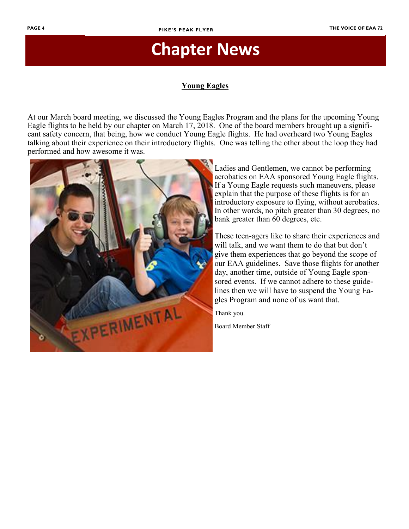#### **Young Eagles**

At our March board meeting, we discussed the Young Eagles Program and the plans for the upcoming Young Eagle flights to be held by our chapter on March 17, 2018. One of the board members brought up a significant safety concern, that being, how we conduct Young Eagle flights. He had overheard two Young Eagles talking about their experience on their introductory flights. One was telling the other about the loop they had performed and how awesome it was.



Ladies and Gentlemen, we cannot be performing aerobatics on EAA sponsored Young Eagle flights. If a Young Eagle requests such maneuvers, please explain that the purpose of these flights is for an introductory exposure to flying, without aerobatics. In other words, no pitch greater than 30 degrees, no bank greater than 60 degrees, etc.

These teen-agers like to share their experiences and will talk, and we want them to do that but don't give them experiences that go beyond the scope of our EAA guidelines. Save those flights for another day, another time, outside of Young Eagle sponsored events. If we cannot adhere to these guidelines then we will have to suspend the Young Eagles Program and none of us want that.

Thank you.

Board Member Staff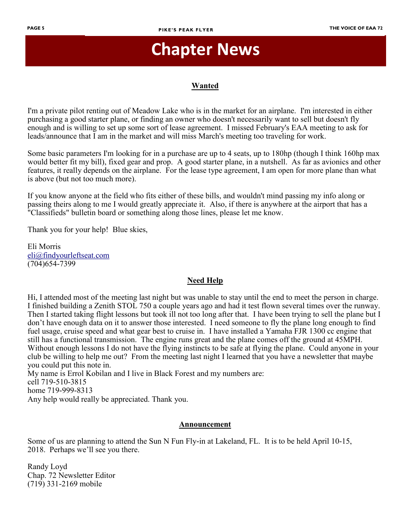#### **Wanted**

I'm a private pilot renting out of Meadow Lake who is in the market for an airplane. I'm interested in either purchasing a good starter plane, or finding an owner who doesn't necessarily want to sell but doesn't fly enough and is willing to set up some sort of lease agreement. I missed February's EAA meeting to ask for leads/announce that I am in the market and will miss March's meeting too traveling for work.

Some basic parameters I'm looking for in a purchase are up to 4 seats, up to 180hp (though I think 160hp max would better fit my bill), fixed gear and prop. A good starter plane, in a nutshell. As far as avionics and other features, it really depends on the airplane. For the lease type agreement, I am open for more plane than what is above (but not too much more).

If you know anyone at the field who fits either of these bills, and wouldn't mind passing my info along or passing theirs along to me I would greatly appreciate it. Also, if there is anywhere at the airport that has a "Classifieds" bulletin board or something along those lines, please let me know.

Thank you for your help! Blue skies,

Eli Morris [eli@findyourleftseat.com](mailto:eli@findyourleftseat.com) (704)654-7399

#### **Need Help**

Hi, I attended most of the meeting last night but was unable to stay until the end to meet the person in charge. I finished building a Zenith STOL 750 a couple years ago and had it test flown several times over the runway. Then I started taking flight lessons but took ill not too long after that. I have been trying to sell the plane but I don't have enough data on it to answer those interested. I need someone to fly the plane long enough to find fuel usage, cruise speed and what gear best to cruise in. I have installed a Yamaha FJR 1300 cc engine that still has a functional transmission. The engine runs great and the plane comes off the ground at 45MPH. Without enough lessons I do not have the flying instincts to be safe at flying the plane. Could anyone in your club be willing to help me out? From the meeting last night I learned that you have a newsletter that maybe you could put this note in.

My name is Errol Kobilan and I live in Black Forest and my numbers are: cell 719-510-3815 home 719-999-8313 Any help would really be appreciated. Thank you.

#### **Announcement**

Some of us are planning to attend the Sun N Fun Fly-in at Lakeland, FL. It is to be held April 10-15, 2018. Perhaps we'll see you there.

Randy Loyd Chap. 72 Newsletter Editor (719) 331-2169 mobile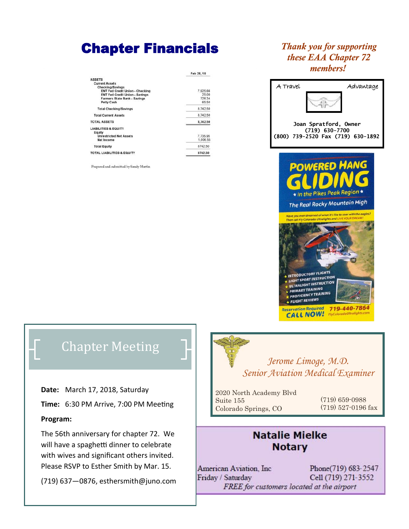### Chapter Financials

|                                        | Feb 28, 18 |
|----------------------------------------|------------|
| <b>ASSETS</b>                          |            |
| <b>Current Assets</b>                  |            |
| Checking/Savings                       |            |
| <b>ENT Fed Credit Union - Checking</b> | 7,925.66   |
| <b>ENT Fed Credit Union - Savings</b>  | 25.00      |
| Farmers State Bank - Savings           | 726.34     |
| <b>Petty Cash</b>                      | 65.50      |
| <b>Total Checking/Savings</b>          | 8.742.50   |
| <b>Total Current Assets</b>            | 8.742.50   |
| <b>TOTAL ASSETS</b>                    | 8,742.50   |
| <b>LIABILITIES &amp; EQUITY</b>        |            |
| Equity                                 |            |
| <b>Unrestricted Net Assets</b>         | 7.735.95   |
| Net Income                             | 1.006.55   |
| <b>Total Equity</b>                    | 8742.50    |
| <b>TOTAL LIABILITIES &amp; EQUITY</b>  | 8742.50    |

Prepared and submitted by Sandy Martin

### *Thank you for supporting these EAA Chapter 72 members!*



### Chapter Meeting

**Date:** March 17, 2018, Saturday

**Time:** 6:30 PM Arrive, 7:00 PM Meeting

#### **Program:**

The 56th anniversary for chapter 72. We will have a spaghetti dinner to celebrate with wives and significant others invited. Please RSVP to Esther Smith by Mar. 15.

(719) 637—0876, esthersmith@juno.com



*Jerome Limoge, M.D. Senior Aviation Medical Examiner*

2020 North Academy Blvd Suite 155 Colorado Springs, CO

(719) 659-0988 (719) 527-0196 fax

### **Natalie Mielke Notary**

American Aviation, Inc. Phone(719) 683-2547 Friday / Saturday Cell (719) 271-3552 FREE for customers located at the airport